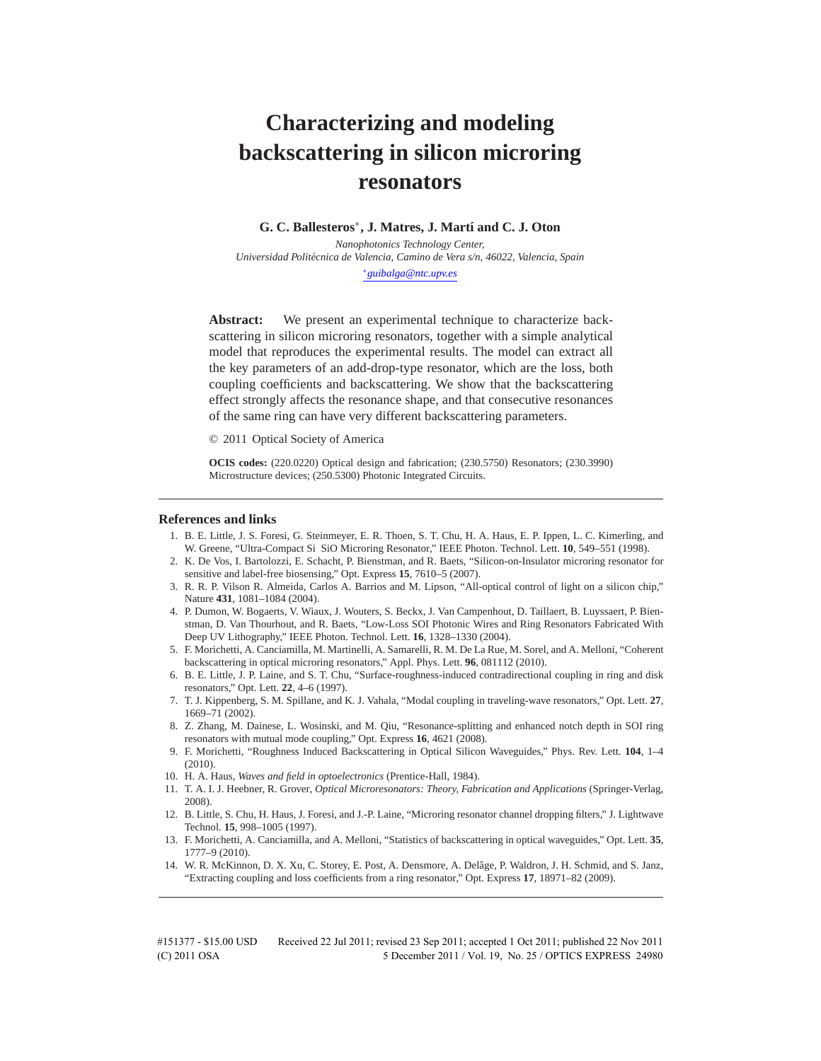# **Characterizing and modeling backscattering in silicon microring resonators**

# **G. C. Ballesteros**∗**, J. Matres, J. Mart´ı and C. J. Oton**

*Nanophotonics Technology Center, Universidad Politecnica de Valencia, Camino de Vera s/n, 46022, Valencia, Spain ´* ∗*guibalga@ntc.upv.es*

**Abstract:** We present an experimental technique to characterize backscattering in silicon microring resonators, together with a simple analytical model that reproduces the experimental results. The model can extract all the key parameters of an add-drop-type resonator, which are the loss, both coupling coefficients and backscattering. We show that the backscattering effect strongly affects the resonance shape, and that consecutive resonances of the same ring can have very different backscattering parameters.

© 2011 Optical Society of America

**OCIS codes:** (220.0220) Optical design and fabrication; (230.5750) Resonators; (230.3990) Microstructure devices; (250.5300) Photonic Integrated Circuits.

#### **References and links**

- 1. B. E. Little, J. S. Foresi, G. Steinmeyer, E. R. Thoen, S. T. Chu, H. A. Haus, E. P. Ippen, L. C. Kimerling, and W. Greene, "Ultra-Compact Si SiO Microring Resonator," IEEE Photon. Technol. Lett. **10**, 549–551 (1998).
- 2. K. De Vos, I. Bartolozzi, E. Schacht, P. Bienstman, and R. Baets, "Silicon-on-Insulator microring resonator for sensitive and label-free biosensing," Opt. Express **15**, 7610–5 (2007).
- 3. R. R. P. Vilson R. Almeida, Carlos A. Barrios and M. Lipson, "All-optical control of light on a silicon chip," Nature **431**, 1081–1084 (2004).
- 4. P. Dumon, W. Bogaerts, V. Wiaux, J. Wouters, S. Beckx, J. Van Campenhout, D. Taillaert, B. Luyssaert, P. Bienstman, D. Van Thourhout, and R. Baets, "Low-Loss SOI Photonic Wires and Ring Resonators Fabricated With Deep UV Lithography," IEEE Photon. Technol. Lett. **16**, 1328–1330 (2004).
- 5. F. Morichetti, A. Canciamilla, M. Martinelli, A. Samarelli, R. M. De La Rue, M. Sorel, and A. Melloni, "Coherent backscattering in optical microring resonators," Appl. Phys. Lett. **96**, 081112 (2010).
- 6. B. E. Little, J. P. Laine, and S. T. Chu, "Surface-roughness-induced contradirectional coupling in ring and disk resonators," Opt. Lett. **22**, 4–6 (1997).
- 7. T. J. Kippenberg, S. M. Spillane, and K. J. Vahala, "Modal coupling in traveling-wave resonators," Opt. Lett. **27**, 1669–71 (2002).
- 8. Z. Zhang, M. Dainese, L. Wosinski, and M. Qiu, "Resonance-splitting and enhanced notch depth in SOI ring resonators with mutual mode coupling," Opt. Express **16**, 4621 (2008).
- 9. F. Morichetti, "Roughness Induced Backscattering in Optical Silicon Waveguides," Phys. Rev. Lett. **104**, 1–4 (2010).
- 10. H. A. Haus, *Waves and field in optoelectronics* (Prentice-Hall, 1984).
- 11. T. A. I. J. Heebner, R. Grover, *Optical Microresonators: Theory, Fabrication and Applications* (Springer-Verlag, 2008).
- 12. B. Little, S. Chu, H. Haus, J. Foresi, and J.-P. Laine, "Microring resonator channel dropping filters," J. Lightwave Technol. **15**, 998–1005 (1997).
- 13. F. Morichetti, A. Canciamilla, and A. Melloni, "Statistics of backscattering in optical waveguides," Opt. Lett. **35**, 1777–9 (2010).
- 14. W. R. McKinnon, D. X. Xu, C. Storey, E. Post, A. Densmore, A. Delage, P. Waldron, J. H. Schmid, and S. Janz, ˆ "Extracting coupling and loss coefficients from a ring resonator," Opt. Express **17**, 18971–82 (2009).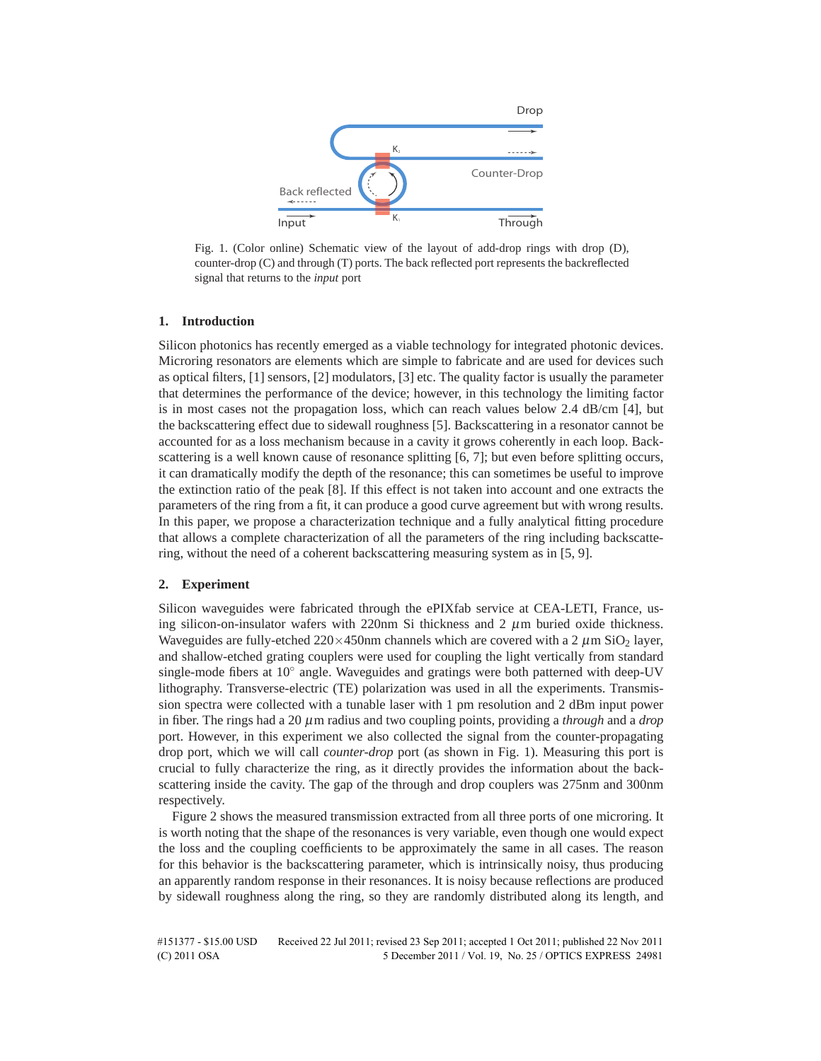

Fig. 1. (Color online) Schematic view of the layout of add-drop rings with drop (D), counter-drop (C) and through (T) ports. The back reflected port represents the backreflected signal that returns to the *input* port

#### **1. Introduction**

Silicon photonics has recently emerged as a viable technology for integrated photonic devices. Microring resonators are elements which are simple to fabricate and are used for devices such as optical filters, [1] sensors, [2] modulators, [3] etc. The quality factor is usually the parameter that determines the performance of the device; however, in this technology the limiting factor is in most cases not the propagation loss, which can reach values below 2.4 dB/cm [4], but the backscattering effect due to sidewall roughness [5]. Backscattering in a resonator cannot be accounted for as a loss mechanism because in a cavity it grows coherently in each loop. Backscattering is a well known cause of resonance splitting [6, 7]; but even before splitting occurs, it can dramatically modify the depth of the resonance; this can sometimes be useful to improve the extinction ratio of the peak [8]. If this effect is not taken into account and one extracts the parameters of the ring from a fit, it can produce a good curve agreement but with wrong results. In this paper, we propose a characterization technique and a fully analytical fitting procedure that allows a complete characterization of all the parameters of the ring including backscattering, without the need of a coherent backscattering measuring system as in [5, 9].

#### **2. Experiment**

Silicon waveguides were fabricated through the ePIXfab service at CEA-LETI, France, using silicon-on-insulator wafers with 220nm Si thickness and 2  $\mu$ m buried oxide thickness. Waveguides are fully-etched  $220\times450$ nm channels which are covered with a 2  $\mu$ m SiO<sub>2</sub> layer, and shallow-etched grating couplers were used for coupling the light vertically from standard single-mode fibers at  $10°$  angle. Waveguides and gratings were both patterned with deep-UV lithography. Transverse-electric (TE) polarization was used in all the experiments. Transmission spectra were collected with a tunable laser with 1 pm resolution and 2 dBm input power in fiber. The rings had a 20 μm radius and two coupling points, providing a *through* and a *drop* port. However, in this experiment we also collected the signal from the counter-propagating drop port, which we will call *counter-drop* port (as shown in Fig. 1). Measuring this port is crucial to fully characterize the ring, as it directly provides the information about the backscattering inside the cavity. The gap of the through and drop couplers was 275nm and 300nm respectively.

Figure 2 shows the measured transmission extracted from all three ports of one microring. It is worth noting that the shape of the resonances is very variable, even though one would expect the loss and the coupling coefficients to be approximately the same in all cases. The reason for this behavior is the backscattering parameter, which is intrinsically noisy, thus producing an apparently random response in their resonances. It is noisy because reflections are produced by sidewall roughness along the ring, so they are randomly distributed along its length, and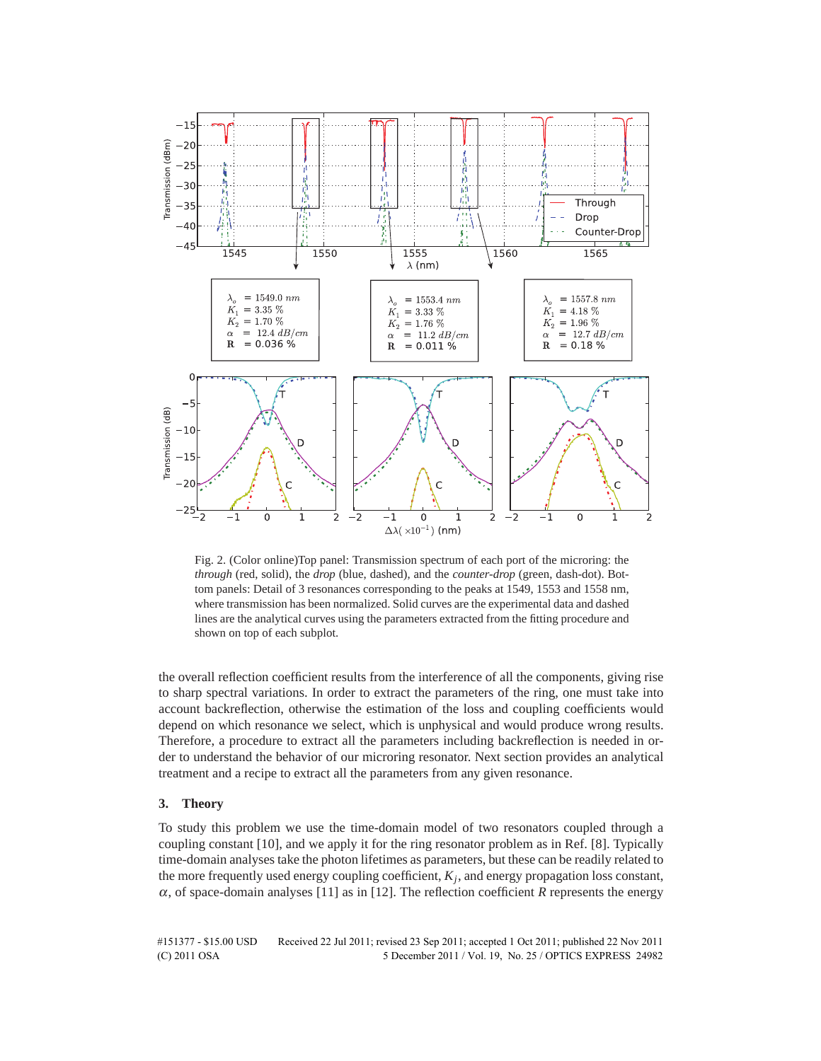

Fig. 2. (Color online)Top panel: Transmission spectrum of each port of the microring: the *through* (red, solid), the *drop* (blue, dashed), and the *counter-drop* (green, dash-dot). Bottom panels: Detail of 3 resonances corresponding to the peaks at 1549, 1553 and 1558 nm, where transmission has been normalized. Solid curves are the experimental data and dashed lines are the analytical curves using the parameters extracted from the fitting procedure and shown on top of each subplot.

the overall reflection coefficient results from the interference of all the components, giving rise to sharp spectral variations. In order to extract the parameters of the ring, one must take into account backreflection, otherwise the estimation of the loss and coupling coefficients would depend on which resonance we select, which is unphysical and would produce wrong results. Therefore, a procedure to extract all the parameters including backreflection is needed in order to understand the behavior of our microring resonator. Next section provides an analytical treatment and a recipe to extract all the parameters from any given resonance.

#### **3. Theory**

To study this problem we use the time-domain model of two resonators coupled through a coupling constant [10], and we apply it for the ring resonator problem as in Ref. [8]. Typically time-domain analyses take the photon lifetimes as parameters, but these can be readily related to the more frequently used energy coupling coefficient,  $K_j$ , and energy propagation loss constant,  $\alpha$ , of space-domain analyses [11] as in [12]. The reflection coefficient  $R$  represents the energy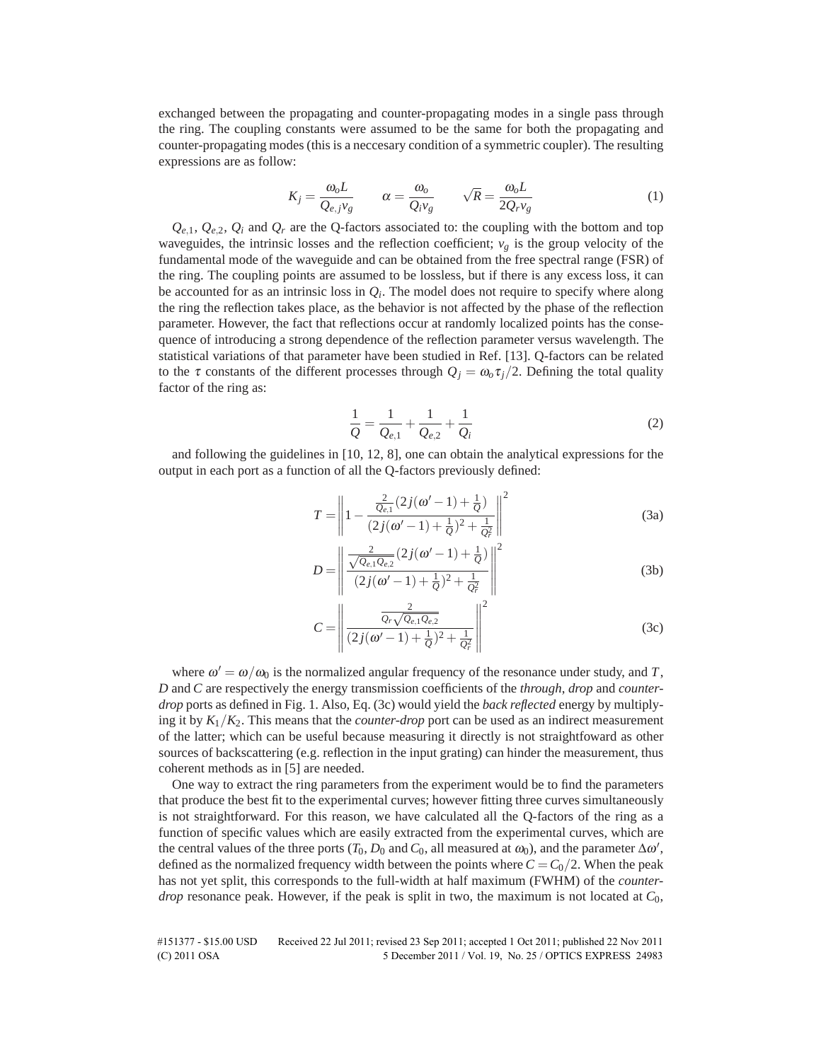exchanged between the propagating and counter-propagating modes in a single pass through the ring. The coupling constants were assumed to be the same for both the propagating and counter-propagating modes (this is a neccesary condition of a symmetric coupler). The resulting expressions are as follow:

$$
K_j = \frac{\omega_o L}{Q_{e,j} v_g} \qquad \alpha = \frac{\omega_o}{Q_i v_g} \qquad \sqrt{R} = \frac{\omega_o L}{2Q_r v_g} \tag{1}
$$

 $Q_{e,1}$ ,  $Q_{e,2}$ ,  $Q_i$  and  $Q_r$  are the Q-factors associated to: the coupling with the bottom and top waveguides, the intrinsic losses and the reflection coefficient;  $v_g$  is the group velocity of the fundamental mode of the waveguide and can be obtained from the free spectral range (FSR) of the ring. The coupling points are assumed to be lossless, but if there is any excess loss, it can be accounted for as an intrinsic loss in  $Q_i$ . The model does not require to specify where along the ring the reflection takes place, as the behavior is not affected by the phase of the reflection parameter. However, the fact that reflections occur at randomly localized points has the consequence of introducing a strong dependence of the reflection parameter versus wavelength. The statistical variations of that parameter have been studied in Ref. [13]. Q-factors can be related to the  $\tau$  constants of the different processes through  $Q_i = \omega_0 \tau_i/2$ . Defining the total quality factor of the ring as:

$$
\frac{1}{Q} = \frac{1}{Q_{e,1}} + \frac{1}{Q_{e,2}} + \frac{1}{Q_i}
$$
 (2)

and following the guidelines in [10, 12, 8], one can obtain the analytical expressions for the output in each port as a function of all the Q-factors previously defined:

$$
T = \left\| 1 - \frac{\frac{2}{Q_{e,1}}(2j(\omega'-1) + \frac{1}{Q})}{(2j(\omega'-1) + \frac{1}{Q})^2 + \frac{1}{Q_r^2}} \right\|^2
$$
 (3a)

$$
D = \left\| \frac{\frac{2}{\sqrt{Q_{e,1}Q_{e,2}}}(2j(\omega'-1)+\frac{1}{Q})}{(2j(\omega'-1)+\frac{1}{Q})^2+\frac{1}{Q_r^2}} \right\|^2
$$
 (3b)

$$
C = \left\| \frac{\frac{2}{Q_r \sqrt{Q_{e,1} Q_{e,2}}}}{(2j(\omega' - 1) + \frac{1}{Q})^2 + \frac{1}{Q_r^2}} \right\|^2
$$
 (3c)

where  $\omega' = \omega/\omega_0$  is the normalized angular frequency of the resonance under study, and *T*, *D* and *C* are respectively the energy transmission coefficients of the *through*, *drop* and *counterdrop* ports as defined in Fig. 1. Also, Eq. (3c) would yield the *back reflected* energy by multiplying it by  $K_1/K_2$ . This means that the *counter-drop* port can be used as an indirect measurement of the latter; which can be useful because measuring it directly is not straightfoward as other sources of backscattering (e.g. reflection in the input grating) can hinder the measurement, thus coherent methods as in [5] are needed.

One way to extract the ring parameters from the experiment would be to find the parameters that produce the best fit to the experimental curves; however fitting three curves simultaneously is not straightforward. For this reason, we have calculated all the Q-factors of the ring as a function of specific values which are easily extracted from the experimental curves, which are the central values of the three ports  $(T_0, D_0$  and  $C_0$ , all measured at  $\omega_0$ ), and the parameter  $\Delta \omega',$ defined as the normalized frequency width between the points where  $C = C_0/2$ . When the peak has not yet split, this corresponds to the full-width at half maximum (FWHM) of the *counterdrop* resonance peak. However, if the peak is split in two, the maximum is not located at  $C_0$ ,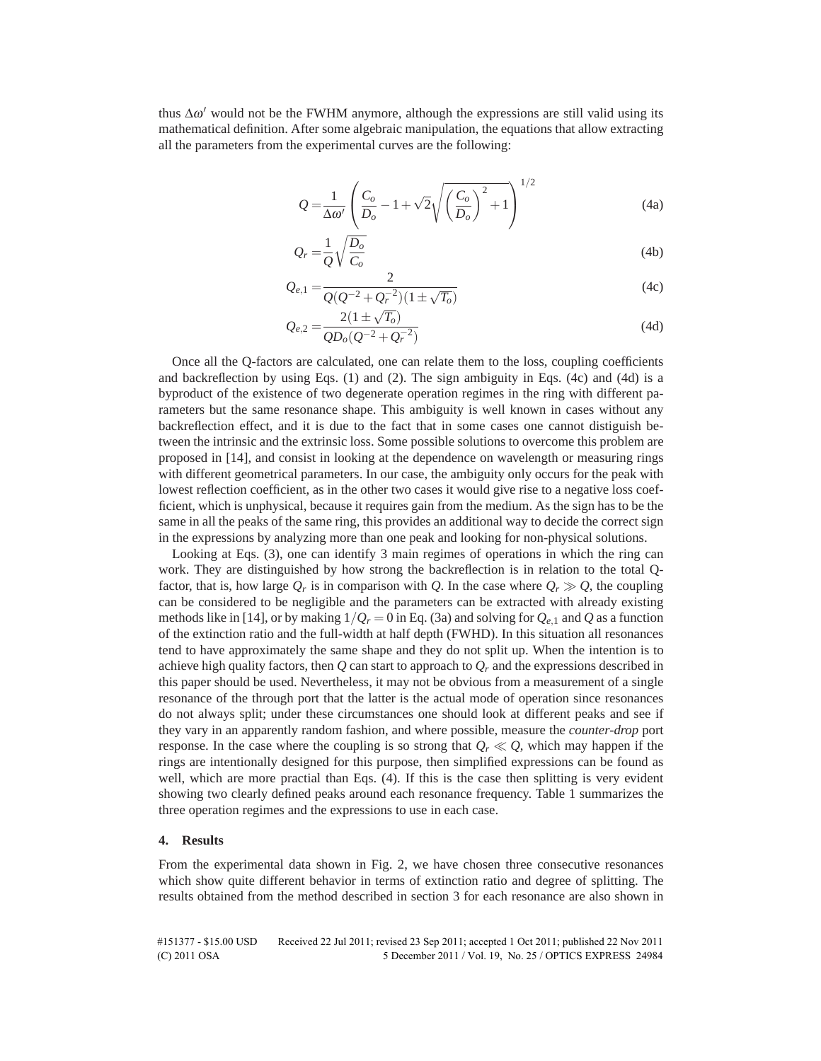thus  $\Delta \omega'$  would not be the FWHM anymore, although the expressions are still valid using its mathematical definition. After some algebraic manipulation, the equations that allow extracting all the parameters from the experimental curves are the following:

$$
Q = \frac{1}{\Delta \omega'} \left( \frac{C_o}{D_o} - 1 + \sqrt{2} \sqrt{\left(\frac{C_o}{D_o}\right)^2 + 1} \right)^{1/2}
$$
 (4a)

$$
Q_r = \frac{1}{Q} \sqrt{\frac{D_o}{C_o}}
$$
\n(4b)

$$
Q_{e,1} = \frac{2}{Q(Q^{-2} + Q_r^{-2})(1 \pm \sqrt{T_o})}
$$
(4c)

$$
Q_{e,2} = \frac{2(1 \pm \sqrt{T_o})}{Q D_o (Q^{-2} + Q_r^{-2})}
$$
(4d)

Once all the Q-factors are calculated, one can relate them to the loss, coupling coefficients and backreflection by using Eqs.  $(1)$  and  $(2)$ . The sign ambiguity in Eqs.  $(4c)$  and  $(4d)$  is a byproduct of the existence of two degenerate operation regimes in the ring with different parameters but the same resonance shape. This ambiguity is well known in cases without any backreflection effect, and it is due to the fact that in some cases one cannot distiguish between the intrinsic and the extrinsic loss. Some possible solutions to overcome this problem are proposed in [14], and consist in looking at the dependence on wavelength or measuring rings with different geometrical parameters. In our case, the ambiguity only occurs for the peak with lowest reflection coefficient, as in the other two cases it would give rise to a negative loss coefficient, which is unphysical, because it requires gain from the medium. As the sign has to be the same in all the peaks of the same ring, this provides an additional way to decide the correct sign in the expressions by analyzing more than one peak and looking for non-physical solutions.

Looking at Eqs. (3), one can identify 3 main regimes of operations in which the ring can work. They are distinguished by how strong the backreflection is in relation to the total Qfactor, that is, how large  $Q_r$  is in comparison with *Q*. In the case where  $Q_r \gg Q$ , the coupling can be considered to be negligible and the parameters can be extracted with already existing methods like in [14], or by making  $1/Q_r = 0$  in Eq. (3a) and solving for  $Q_{e,1}$  and  $Q$  as a function of the extinction ratio and the full-width at half depth (FWHD). In this situation all resonances tend to have approximately the same shape and they do not split up. When the intention is to achieve high quality factors, then  $Q$  can start to approach to  $Q_r$  and the expressions described in this paper should be used. Nevertheless, it may not be obvious from a measurement of a single resonance of the through port that the latter is the actual mode of operation since resonances do not always split; under these circumstances one should look at different peaks and see if they vary in an apparently random fashion, and where possible, measure the *counter-drop* port response. In the case where the coupling is so strong that  $O_r \ll O$ , which may happen if the rings are intentionally designed for this purpose, then simplified expressions can be found as well, which are more practial than Eqs. (4). If this is the case then splitting is very evident showing two clearly defined peaks around each resonance frequency. Table 1 summarizes the three operation regimes and the expressions to use in each case.

## **4. Results**

From the experimental data shown in Fig. 2, we have chosen three consecutive resonances which show quite different behavior in terms of extinction ratio and degree of splitting. The results obtained from the method described in section 3 for each resonance are also shown in